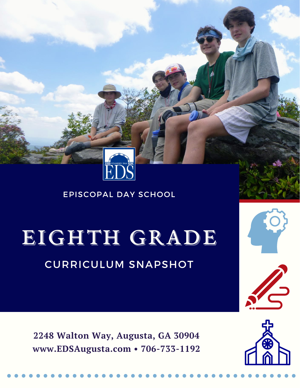

# EIGHTH GRADE

## CURRICULUM SNAPSHOT

**2248 Walton Way, Augusta, GA 30904 www.EDSAugusta.com • 706-733-1192**



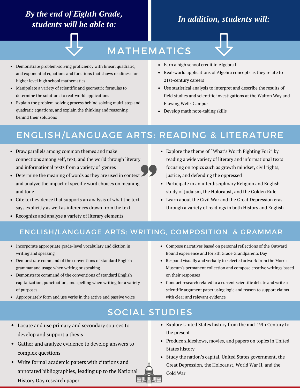## *By the end of Eighth Grade, students will be able to:*

## *In addition, students will:*



## MATHEMATICS

- Demonstrate problem-solving proficiency with linear, quadratic, and exponential equations and functions that shows readiness for higher level high school mathematics
- Manipulate a variety of scientific and geometric formulas to determine the solutions to real-world applications
- Explain the problem-solving process behind solving multi-step and quadratic equations, and explain the thinking and reasoning behind their solutions
- Earn a high school credit in Algebra I
- Real-world applications of Algebra concepts as they relate to 21st-century careers
- Use statistical analysis to interpret and describe the results of field studies and scientific investigations at the Walton Way and Flowing Wells Campus
- Develop math note-taking skills

## ENGLISH/LANGUAGE ARTS: READING & LITERATURE

- Draw parallels among common themes and make connections among self, text, and the world through literary and informational texts from a variety of genres
- Determine the meaning of words as they are used in context and analyze the impact of specific word choices on meaning and tone
- Cite text evidence that supports an analysis of what the text says explicitly as well as inferences drawn from the text
- Recognize and analyze a variety of literary elements
- Explore the theme of "What's Worth Fighting For?" by reading a wide variety of literary and informational texts focusing on topics such as growth mindset, civil rights, justice, and defending the oppressed
- Participate in an interdisciplinary Religion and English study of Judaism, the Holocaust, and the Golden Rule
- Learn about the Civil War and the Great Depression eras through a variety of readings in both History and English

#### ENGLISH/LANGUAGE ARTS: WRITING, COMPOSITION, & GRAMMAR

- Incorporate appropriate grade-level vocabulary and diction in writing and speaking
- Demonstrate command of the conventions of standard English grammar and usage when writing or speaking
- Demonstrate command of the conventions of standard English capitalization, punctuation, and spelling when writing for a variety of purposes
- Appropriately form and use verbs in the active and passive voice
- Compose narratives based on personal reflections of the Outward Bound experience and for 8th Grade Grandparents Day
- Respond visually and verbally to selected artwork from the Morris Museum's permanent collection and compose creative writings based on their responses
- Conduct research related to a current scientific debate and write a scientific argument paper using logic and reason to support claims with clear and relevant evidence

#### SOCIAL STUDIES

- Locate and use primary and secondary sources to develop and support a thesis
- Gather and analyze evidence to develop answers to complex questions
- Write formal academic papers with citations and annotated bibliographies, leading up to the National History Day research paper
- Explore United States history from the mid-19th Century to the present
- Produce slideshows, movies, and papers on topics in United States history
- Study the nation's capital, United States government, the Great Depression, the Holocaust, World War II, and the Cold War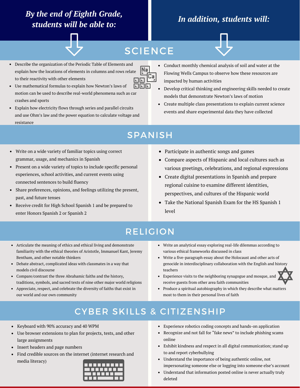## *By the end of Eighth Grade, students will be able to:*

## *In addition, students will:*



## **SCIENCE**

Caj

|Na

- Describe the organization of the Periodic Table of Elements and explain how the locations of elements in columns and rows relate to their reactivity with other elements
- ानन Use mathematical formulas to explain how Newton's laws of motion can be used to describe real-world phenomena such as car crashes and sports
- Explain how electricity flows through series and parallel circuits and use Ohm's law and the power equation to calculate voltage and resistance
- Conduct monthly chemical analysis of soil and water at the Flowing Wells Campus to observe how these resources are impacted by human activities
- Develop critical thinking and engineering skills needed to create models that demonstrate Newton's laws of motion
- Create multiple class presentations to explain current science events and share experimental data they have collected

## SPANISH

- Write on a wide variety of familiar topics using correct grammar, usage, and mechanics in Spanish
- Present on a wide variety of topics to include specific personal experiences, school activities, and current events using connected sentences to build fluency
- Share preferences, opinions, and feelings utilizing the present, past, and future tenses
- Receive credit for High School Spanish 1 and be prepared to enter Honors Spanish 2 or Spanish 2
- Participate in authentic songs and games
- Compare aspects of Hispanic and local cultures such as various greetings, celebrations, and regional expressions
- Create digital presentations in Spanish and prepare regional cuisine to examine different identities, perspectives, and cultures of the Hispanic world
- Take the National Spanish Exam for the HS Spanish 1 level

## RELIGION

- Articulate the meaning of ethics and ethical living and demonstrate familiarity with the ethical theories of Aristotle, Immanuel Kant, Jeremy Bentham, and other notable thinkers
- Debate abstract, complicated ideas with classmates in a way that models civil discourse
- Compare/contrast the three Abrahamic faiths and the history, traditions, symbols, and sacred texts of nine other major world religions
- Appreciate, respect, and celebrate the diversity of faiths that exist in our world and our own community
- Write an analytical essay exploring real-life dilemmas according to various ethical frameworks discussed in class
- Write a five-paragraph essay about the Holocaust and other acts of genocide in interdisciplinary collaboration with the English and history teachers
- Experience visits to the neighboring synagogue and mosque, and receive guests from other area faith communities
- Produce a spiritual autobiography in which they describe what matters  $\bullet$ most to them in their personal lives of faith

## CYBER SKILLS & CITIZENSHIP

- Keyboard with 90% accuracy and 40 WPM
- Use browser extensions to plan for projects, tests, and other large assignments
- Insert headers and page numbers
- Find credible sources on the internet (internet research and media literacy)



- Experience robotics coding concepts and hands-on application
- Recognize and not fall for "fake news" to include phishing scams online
- Exhibit kindness and respect in all digital communication; stand up to and report cyberbullying
- Understand the importance of being authentic online, not impersonating someone else or logging into someone else's account
- Understand that information posted online is never actually truly deleted